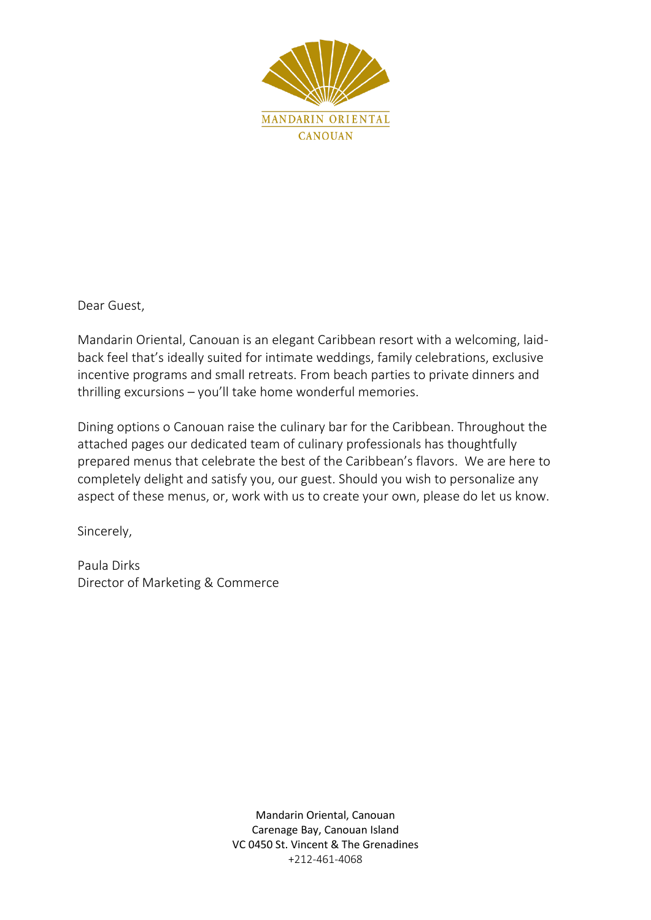

Dear Guest,

Mandarin Oriental, Canouan is an elegant Caribbean resort with a welcoming, laidback feel that's ideally suited for intimate weddings, family celebrations, exclusive incentive programs and small retreats. From beach parties to private dinners and thrilling excursions – you'll take home wonderful memories.

Dining options o Canouan raise the culinary bar for the Caribbean. Throughout the attached pages our dedicated team of culinary professionals has thoughtfully prepared menus that celebrate the best of the Caribbean's flavors. We are here to completely delight and satisfy you, our guest. Should you wish to personalize any aspect of these menus, or, work with us to create your own, please do let us know.

Sincerely,

Paula Dirks Director of Marketing & Commerce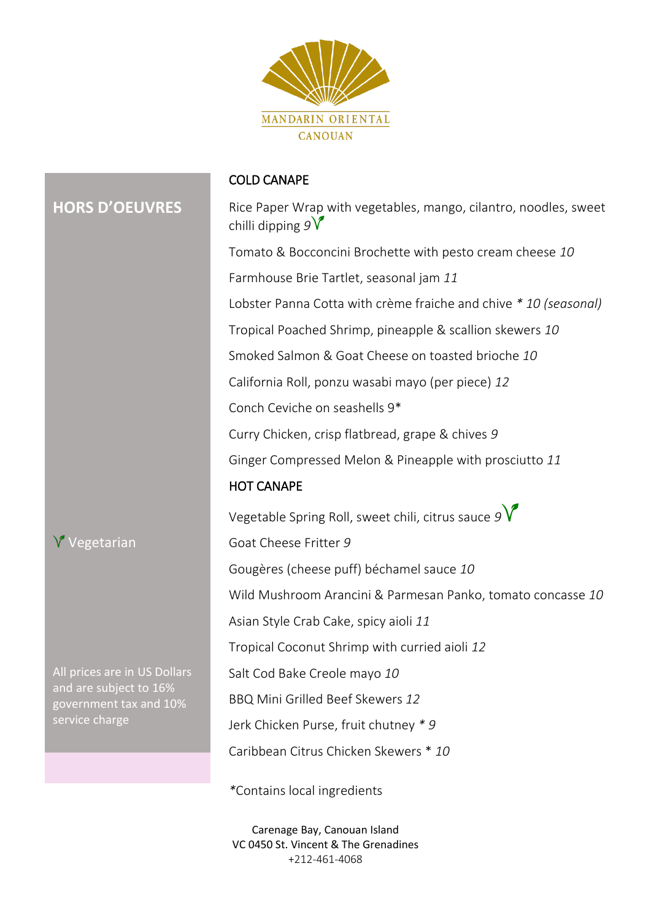

# **HORS D'OEUVRES**

#### COLD CANAPE

Rice Paper Wrap with vegetables, mango, cilantro, noodles, sweet chilli dipping *9* Tomato & Bocconcini Brochette with pesto cream cheese *10* Farmhouse Brie Tartlet, seasonal jam *11* Lobster Panna Cotta with crème fraiche and chive *\* 10 (seasonal)* Tropical Poached Shrimp, pineapple & scallion skewers *10* Smoked Salmon & Goat Cheese on toasted brioche *10* California Roll, ponzu wasabi mayo (per piece) *12* Conch Ceviche on seashells 9\* Curry Chicken, crisp flatbread, grape & chives *9* Ginger Compressed Melon & Pineapple with prosciutto *11* HOT CANAPE Vegetable Spring Roll, sweet chili, citrus sauce *9* Goat Cheese Fritter *9* Gougères (cheese puff) béchamel sauce *10* Wild Mushroom Arancini & Parmesan Panko, tomato concasse *10* Asian Style Crab Cake, spicy aioli *11* Tropical Coconut Shrimp with curried aioli *12* Salt Cod Bake Creole mayo *10* BBQ Mini Grilled Beef Skewers *12* Jerk Chicken Purse, fruit chutney *\* 9*

Caribbean Citrus Chicken Skewers \* *10*

*\**Contains local ingredients

Carenage Bay, Canouan Island VC 0450 St. Vincent & The Grenadines +212-461-4068

# **V** Vegetarian

All prices are in US Dollars and are subject to 16% government tax and 10% service charge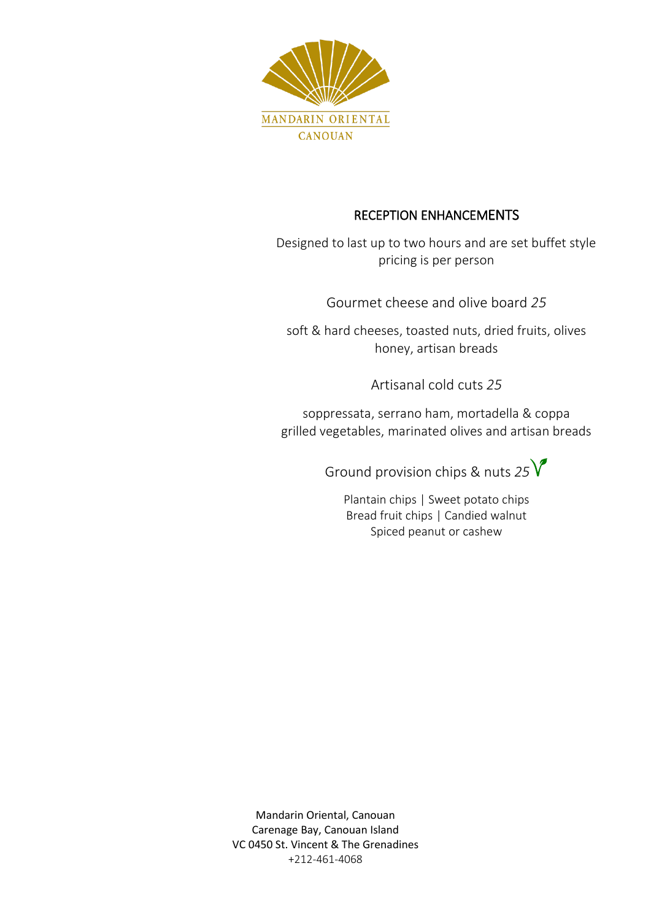

# RECEPTION ENHANCEMENTS

Designed to last up to two hours and are set buffet style pricing is per person

Gourmet cheese and olive board *25*

soft & hard cheeses, toasted nuts, dried fruits, olives honey, artisan breads

Artisanal cold cuts *25*

soppressata, serrano ham, mortadella & coppa grilled vegetables, marinated olives and artisan breads

Ground provision chips & nuts *25*

Plantain chips | Sweet potato chips Bread fruit chips | Candied walnut Spiced peanut or cashew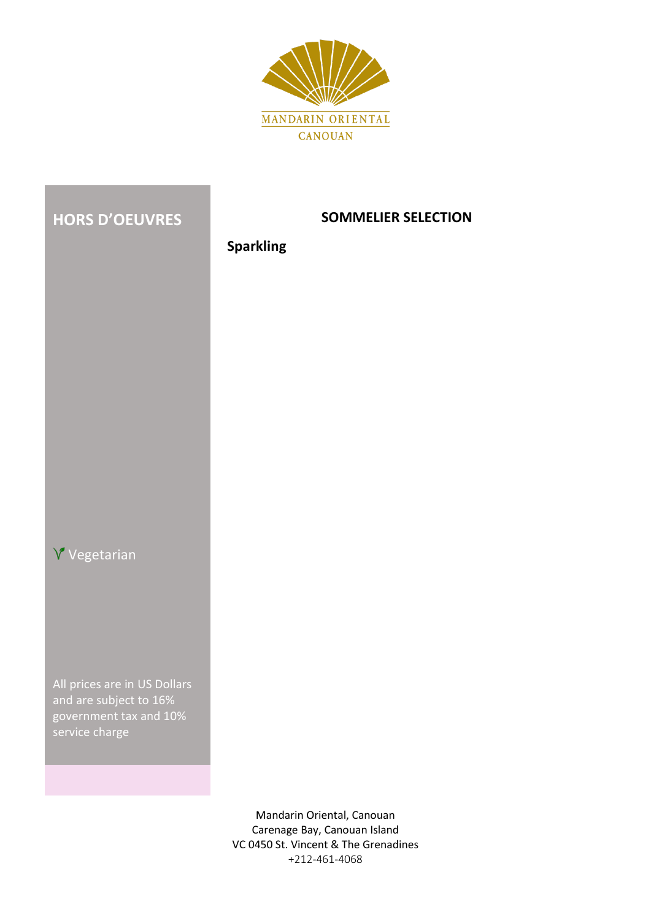



All prices are in US Dollars and are subject to 16% government tax and 10% service charge

## **SOMMELIER SELECTION**

# **Sparkling**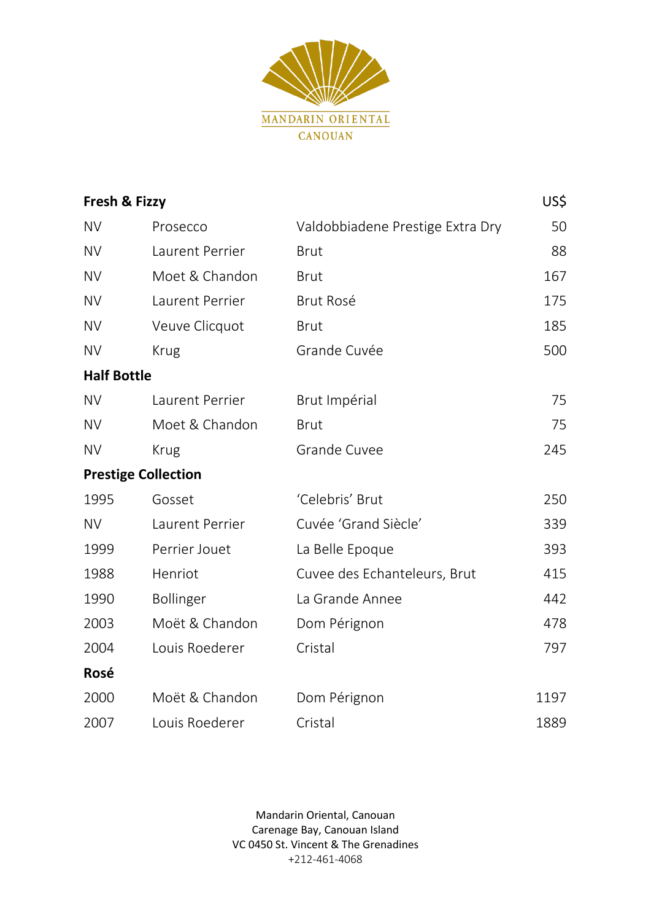

| Fresh & Fizzy      |                            |                                  | US\$ |
|--------------------|----------------------------|----------------------------------|------|
| <b>NV</b>          | Prosecco                   | Valdobbiadene Prestige Extra Dry | 50   |
| <b>NV</b>          | Laurent Perrier            | <b>Brut</b>                      | 88   |
| <b>NV</b>          | Moet & Chandon             | <b>Brut</b>                      | 167  |
| <b>NV</b>          | Laurent Perrier            | <b>Brut Rosé</b>                 | 175  |
| <b>NV</b>          | Veuve Clicquot             | <b>Brut</b>                      | 185  |
| <b>NV</b>          | <b>Krug</b>                | Grande Cuvée                     | 500  |
| <b>Half Bottle</b> |                            |                                  |      |
| <b>NV</b>          | Laurent Perrier            | Brut Impérial                    | 75   |
| <b>NV</b>          | Moet & Chandon             | <b>Brut</b>                      | 75   |
| <b>NV</b>          | <b>Krug</b>                | <b>Grande Cuvee</b>              | 245  |
|                    | <b>Prestige Collection</b> |                                  |      |
| 1995               | Gosset                     | 'Celebris' Brut                  | 250  |
| <b>NV</b>          | Laurent Perrier            | Cuvée 'Grand Siècle'             | 339  |
| 1999               | Perrier Jouet              | La Belle Epoque                  | 393  |
| 1988               | Henriot                    | Cuvee des Echanteleurs, Brut     | 415  |
| 1990               | <b>Bollinger</b>           | La Grande Annee                  | 442  |
| 2003               | Moët & Chandon             | Dom Pérignon                     | 478  |
| 2004               | Louis Roederer             | Cristal                          | 797  |
| Rosé               |                            |                                  |      |
| 2000               | Moët & Chandon             | Dom Pérignon                     | 1197 |
| 2007               | Louis Roederer             | Cristal                          | 1889 |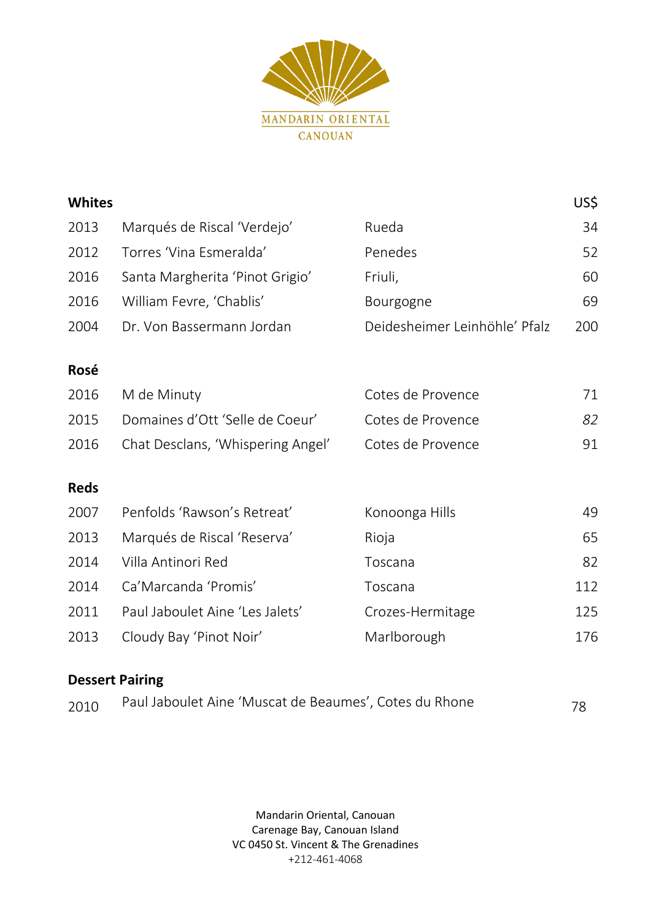

| <b>Whites</b> |                                   |                               | US\$ |
|---------------|-----------------------------------|-------------------------------|------|
| 2013          | Marqués de Riscal 'Verdejo'       | Rueda                         | 34   |
| 2012          | Torres 'Vina Esmeralda'           | Penedes                       | 52   |
| 2016          | Santa Margherita 'Pinot Grigio'   | Friuli,                       | 60   |
| 2016          | William Fevre, 'Chablis'          | Bourgogne                     | 69   |
| 2004          | Dr. Von Bassermann Jordan         | Deidesheimer Leinhöhle' Pfalz | 200  |
|               |                                   |                               |      |
| Rosé          |                                   |                               |      |
| 2016          | M de Minuty                       | Cotes de Provence             | 71   |
| 2015          | Domaines d'Ott 'Selle de Coeur'   | Cotes de Provence             | 82   |
| 2016          | Chat Desclans, 'Whispering Angel' | Cotes de Provence             | 91   |
|               |                                   |                               |      |
| <b>Reds</b>   |                                   |                               |      |
| 2007          | Penfolds 'Rawson's Retreat'       | Konoonga Hills                | 49   |
| 2013          | Marqués de Riscal 'Reserva'       | Rioja                         | 65   |
| 2014          | Villa Antinori Red                | Toscana                       | 82   |
| 2014          | Ca'Marcanda 'Promis'              | Toscana                       | 112  |
| 2011          | Paul Jaboulet Aine 'Les Jalets'   | Crozes-Hermitage              | 125  |
| 2013          | Cloudy Bay 'Pinot Noir'           | Marlborough                   | 176  |
|               |                                   |                               |      |

# **Dessert Pairing**

| 2010 | Paul Jaboulet Aine 'Muscat de Beaumes', Cotes du Rhone | 78 |
|------|--------------------------------------------------------|----|
|------|--------------------------------------------------------|----|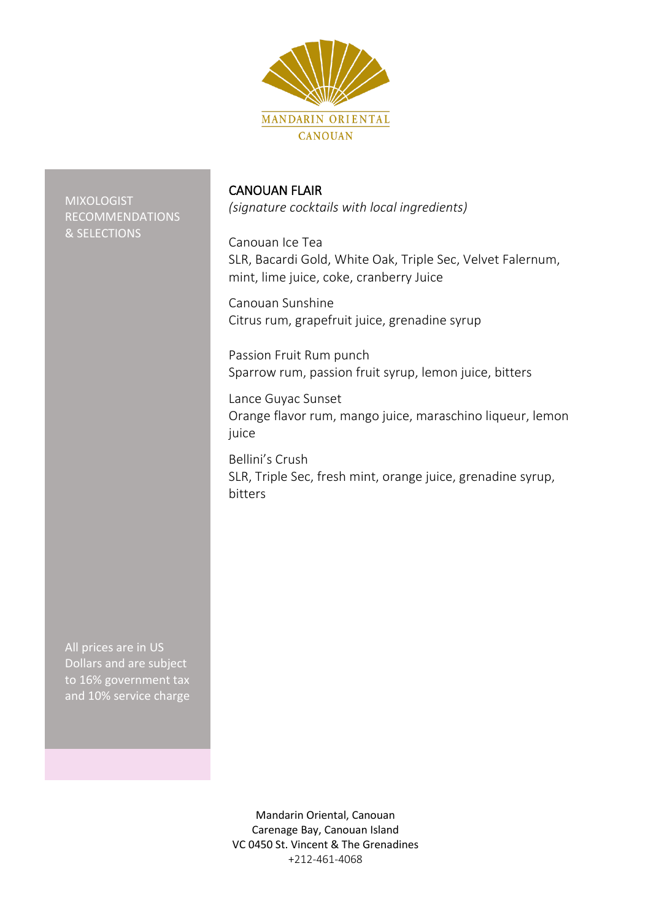

MIXOLOGIST RECOMMENDATIONS & SELECTIONS

### CANOUAN FLAIR

*(signature cocktails with local ingredients)*

Canouan Ice Tea SLR, Bacardi Gold, White Oak, Triple Sec, Velvet Falernum, mint, lime juice, coke, cranberry Juice

Canouan Sunshine Citrus rum, grapefruit juice, grenadine syrup

Passion Fruit Rum punch Sparrow rum, passion fruit syrup, lemon juice, bitters

Lance Guyac Sunset Orange flavor rum, mango juice, maraschino liqueur, lemon juice

Bellini's Crush SLR, Triple Sec, fresh mint, orange juice, grenadine syrup, bitters

All prices are in US Dollars and are subject to 16% government tax and 10% service charge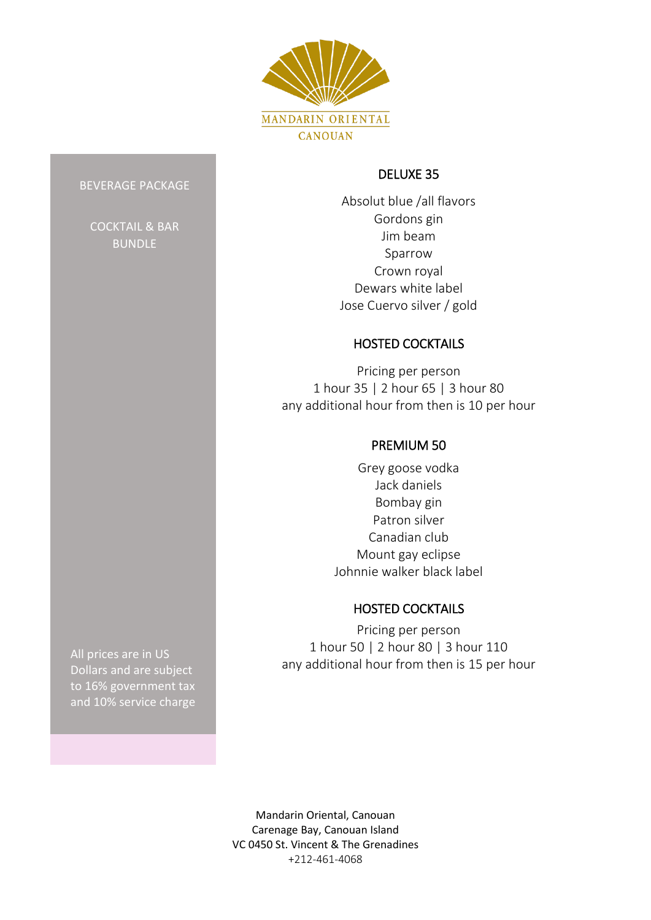

### DELUXE 35

Absolut blue /all flavors Gordons gin Jim beam Sparrow Crown royal Dewars white label Jose Cuervo silver / gold

# HOSTED COCKTAILS

Pricing per person 1 hour 35 | 2 hour 65 | 3 hour 80 any additional hour from then is 10 per hour

# PREMIUM 50

Grey goose vodka Jack daniels Bombay gin Patron silver Canadian club Mount gay eclipse Johnnie walker black label

# HOSTED COCKTAILS

Pricing per person 1 hour 50 | 2 hour 80 | 3 hour 110 any additional hour from then is 15 per hour

BEVERAGE PACKAGE

COCKTAIL & BAR BUNDLE

All prices are in US Dollars and are subject to 16% government tax and 10% service charge